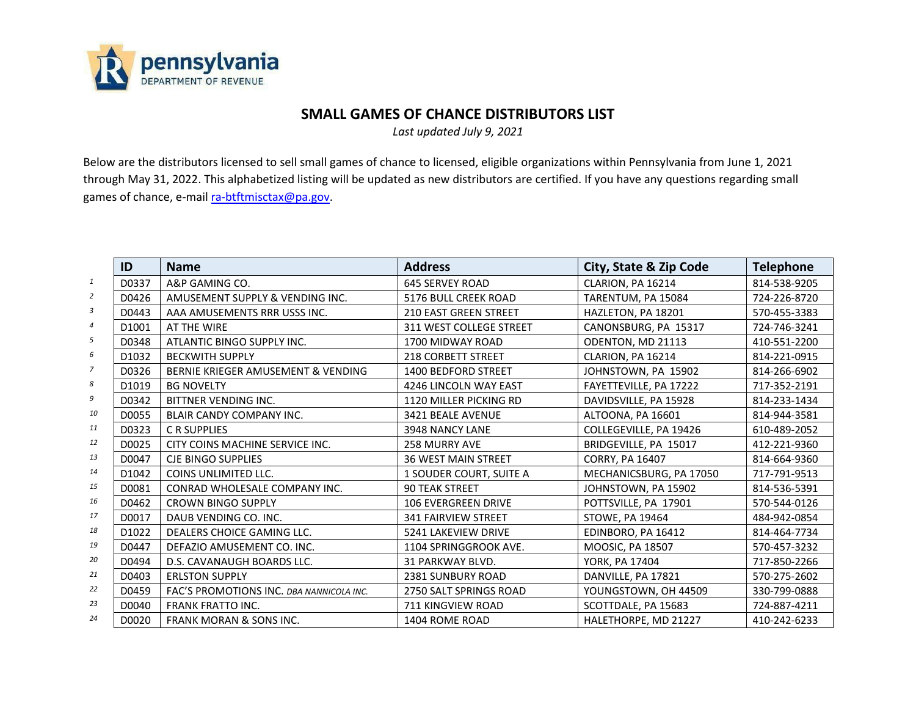

## **SMALL GAMES OF CHANCE DISTRIBUTORS LIST**

*Last updated July 9, 2021*

Below are the distributors licensed to sell small games of chance to licensed, eligible organizations within Pennsylvania from June 1, 2021 through May 31, 2022. This alphabetized listing will be updated as new distributors are certified. If you have any questions regarding small games of chance, e-mail ra-btftmisctax@pa.gov.

|                | ID                | <b>Name</b>                              | <b>Address</b>               | City, State & Zip Code  | <b>Telephone</b> |
|----------------|-------------------|------------------------------------------|------------------------------|-------------------------|------------------|
| 1              | D0337             | A&P GAMING CO.                           | <b>645 SERVEY ROAD</b>       | CLARION, PA 16214       | 814-538-9205     |
| $\overline{2}$ | D0426             | AMUSEMENT SUPPLY & VENDING INC.          | 5176 BULL CREEK ROAD         | TARENTUM, PA 15084      | 724-226-8720     |
| 3              | D0443             | AAA AMUSEMENTS RRR USSS INC.             | <b>210 EAST GREEN STREET</b> | HAZLETON, PA 18201      | 570-455-3383     |
| $\overline{4}$ | D1001             | AT THE WIRE                              | 311 WEST COLLEGE STREET      | CANONSBURG, PA 15317    | 724-746-3241     |
| 5              | D0348             | ATLANTIC BINGO SUPPLY INC.               | 1700 MIDWAY ROAD             | ODENTON, MD 21113       | 410-551-2200     |
| 6              | D1032             | <b>BECKWITH SUPPLY</b>                   | <b>218 CORBETT STREET</b>    | CLARION, PA 16214       | 814-221-0915     |
| 7              | D0326             | BERNIE KRIEGER AMUSEMENT & VENDING       | 1400 BEDFORD STREET          | JOHNSTOWN, PA 15902     | 814-266-6902     |
| 8              | D1019             | <b>BG NOVELTY</b>                        | 4246 LINCOLN WAY EAST        | FAYETTEVILLE, PA 17222  | 717-352-2191     |
| 9              | D0342             | BITTNER VENDING INC.                     | 1120 MILLER PICKING RD       | DAVIDSVILLE, PA 15928   | 814-233-1434     |
| 10             | D0055             | <b>BLAIR CANDY COMPANY INC.</b>          | 3421 BEALE AVENUE            | ALTOONA, PA 16601       | 814-944-3581     |
| 11             | D0323             | <b>CR SUPPLIES</b>                       | 3948 NANCY LANE              | COLLEGEVILLE, PA 19426  | 610-489-2052     |
| 12             | D0025             | CITY COINS MACHINE SERVICE INC.          | <b>258 MURRY AVE</b>         | BRIDGEVILLE, PA 15017   | 412-221-9360     |
| 13             | D0047             | <b>CJE BINGO SUPPLIES</b>                | <b>36 WEST MAIN STREET</b>   | <b>CORRY, PA 16407</b>  | 814-664-9360     |
| 14             | D <sub>1042</sub> | <b>COINS UNLIMITED LLC.</b>              | 1 SOUDER COURT, SUITE A      | MECHANICSBURG, PA 17050 | 717-791-9513     |
| 15             | D0081             | CONRAD WHOLESALE COMPANY INC.            | <b>90 TEAK STREET</b>        | JOHNSTOWN, PA 15902     | 814-536-5391     |
| 16             | D0462             | <b>CROWN BINGO SUPPLY</b>                | <b>106 EVERGREEN DRIVE</b>   | POTTSVILLE, PA 17901    | 570-544-0126     |
| 17             | D0017             | DAUB VENDING CO. INC.                    | <b>341 FAIRVIEW STREET</b>   | <b>STOWE, PA 19464</b>  | 484-942-0854     |
| 18             | D <sub>1022</sub> | DEALERS CHOICE GAMING LLC.               | 5241 LAKEVIEW DRIVE          | EDINBORO, PA 16412      | 814-464-7734     |
| 19             | D0447             | DEFAZIO AMUSEMENT CO. INC.               | 1104 SPRINGGROOK AVE.        | MOOSIC, PA 18507        | 570-457-3232     |
| 20             | D0494             | D.S. CAVANAUGH BOARDS LLC.               | 31 PARKWAY BLVD.             | YORK, PA 17404          | 717-850-2266     |
| 21             | D0403             | <b>ERLSTON SUPPLY</b>                    | 2381 SUNBURY ROAD            | DANVILLE, PA 17821      | 570-275-2602     |
| 22             | D0459             | FAC'S PROMOTIONS INC. DBA NANNICOLA INC. | 2750 SALT SPRINGS ROAD       | YOUNGSTOWN, OH 44509    | 330-799-0888     |
| 23             | D0040             | <b>FRANK FRATTO INC.</b>                 | 711 KINGVIEW ROAD            | SCOTTDALE, PA 15683     | 724-887-4211     |
| 24             | D0020             | <b>FRANK MORAN &amp; SONS INC.</b>       | 1404 ROME ROAD               | HALETHORPE, MD 21227    | 410-242-6233     |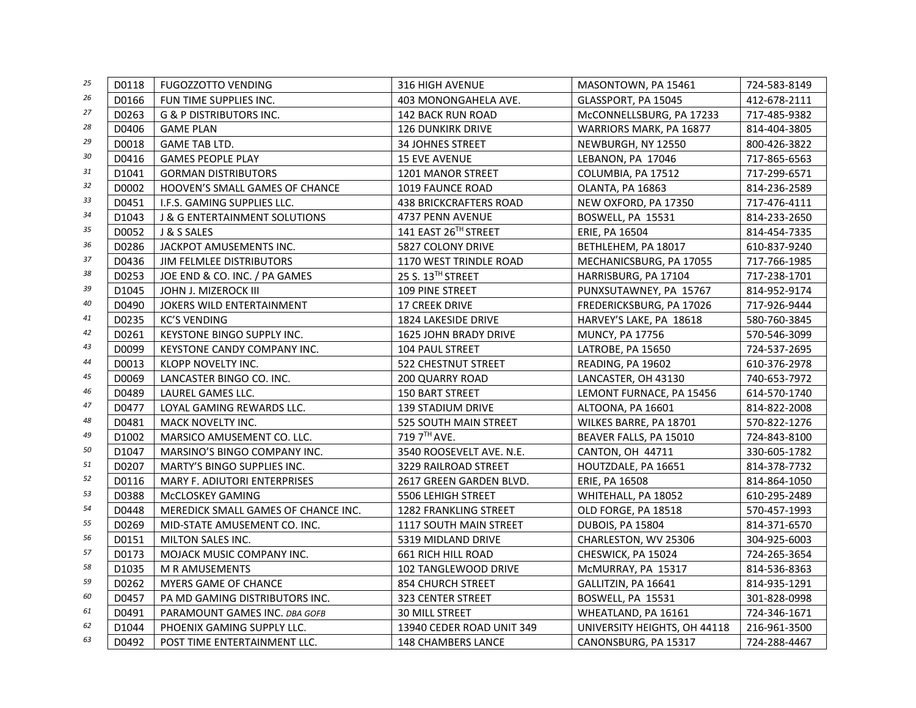| 25 | D0118             | <b>FUGOZZOTTO VENDING</b>                | <b>316 HIGH AVENUE</b>        | MASONTOWN, PA 15461          | 724-583-8149 |
|----|-------------------|------------------------------------------|-------------------------------|------------------------------|--------------|
| 26 | D0166             | FUN TIME SUPPLIES INC.                   | 403 MONONGAHELA AVE.          | GLASSPORT, PA 15045          | 412-678-2111 |
| 27 | D0263             | <b>G &amp; P DISTRIBUTORS INC.</b>       | <b>142 BACK RUN ROAD</b>      | McCONNELLSBURG, PA 17233     | 717-485-9382 |
| 28 | D0406             | <b>GAME PLAN</b>                         | <b>126 DUNKIRK DRIVE</b>      | WARRIORS MARK, PA 16877      | 814-404-3805 |
| 29 | D0018             | <b>GAME TAB LTD.</b>                     | 34 JOHNES STREET              | NEWBURGH, NY 12550           | 800-426-3822 |
| 30 | D0416             | <b>GAMES PEOPLE PLAY</b>                 | <b>15 EVE AVENUE</b>          | LEBANON, PA 17046            | 717-865-6563 |
| 31 | D1041             | <b>GORMAN DISTRIBUTORS</b>               | 1201 MANOR STREET             | COLUMBIA, PA 17512           | 717-299-6571 |
| 32 | D0002             | HOOVEN'S SMALL GAMES OF CHANCE           | 1019 FAUNCE ROAD              | OLANTA, PA 16863             | 814-236-2589 |
| 33 | D0451             | I.F.S. GAMING SUPPLIES LLC.              | <b>438 BRICKCRAFTERS ROAD</b> | NEW OXFORD, PA 17350         | 717-476-4111 |
| 34 | D1043             | <b>J &amp; G ENTERTAINMENT SOLUTIONS</b> | 4737 PENN AVENUE              | BOSWELL, PA 15531            | 814-233-2650 |
| 35 | D0052             | J & S SALES                              | 141 EAST 26TH STREET          | ERIE, PA 16504               | 814-454-7335 |
| 36 | D0286             | JACKPOT AMUSEMENTS INC.                  | 5827 COLONY DRIVE             | BETHLEHEM, PA 18017          | 610-837-9240 |
| 37 | D0436             | JIM FELMLEE DISTRIBUTORS                 | 1170 WEST TRINDLE ROAD        | MECHANICSBURG, PA 17055      | 717-766-1985 |
| 38 | D0253             | JOE END & CO. INC. / PA GAMES            | 25 S. 13™ STREET              | HARRISBURG, PA 17104         | 717-238-1701 |
| 39 | D1045             | JOHN J. MIZEROCK III                     | 109 PINE STREET               | PUNXSUTAWNEY, PA 15767       | 814-952-9174 |
| 40 | D0490             | <b>JOKERS WILD ENTERTAINMENT</b>         | <b>17 CREEK DRIVE</b>         | FREDERICKSBURG, PA 17026     | 717-926-9444 |
| 41 | D0235             | <b>KC'S VENDING</b>                      | 1824 LAKESIDE DRIVE           | HARVEY'S LAKE, PA 18618      | 580-760-3845 |
| 42 | D0261             | <b>KEYSTONE BINGO SUPPLY INC.</b>        | <b>1625 JOHN BRADY DRIVE</b>  | <b>MUNCY, PA 17756</b>       | 570-546-3099 |
| 43 | D0099             | KEYSTONE CANDY COMPANY INC.              | 104 PAUL STREET               | LATROBE, PA 15650            | 724-537-2695 |
| 44 | D0013             | KLOPP NOVELTY INC.                       | 522 CHESTNUT STREET           | READING, PA 19602            | 610-376-2978 |
| 45 | D0069             | LANCASTER BINGO CO. INC.                 | 200 QUARRY ROAD               | LANCASTER, OH 43130          | 740-653-7972 |
| 46 | D0489             | LAUREL GAMES LLC.                        | 150 BART STREET               | LEMONT FURNACE, PA 15456     | 614-570-1740 |
| 47 | D0477             | LOYAL GAMING REWARDS LLC.                | <b>139 STADIUM DRIVE</b>      | ALTOONA, PA 16601            | 814-822-2008 |
| 48 | D0481             | <b>MACK NOVELTY INC.</b>                 | 525 SOUTH MAIN STREET         | WILKES BARRE, PA 18701       | 570-822-1276 |
| 49 | D <sub>1002</sub> | MARSICO AMUSEMENT CO. LLC.               | 719 7 <sup>TH</sup> AVE.      | BEAVER FALLS, PA 15010       | 724-843-8100 |
| 50 | D1047             | MARSINO'S BINGO COMPANY INC.             | 3540 ROOSEVELT AVE. N.E.      | CANTON, OH 44711             | 330-605-1782 |
| 51 | D0207             | MARTY'S BINGO SUPPLIES INC.              | 3229 RAILROAD STREET          | HOUTZDALE, PA 16651          | 814-378-7732 |
| 52 | D0116             | MARY F. ADIUTORI ENTERPRISES             | 2617 GREEN GARDEN BLVD.       | ERIE, PA 16508               | 814-864-1050 |
| 53 | D0388             | McCLOSKEY GAMING                         | 5506 LEHIGH STREET            | WHITEHALL, PA 18052          | 610-295-2489 |
| 54 | D0448             | MEREDICK SMALL GAMES OF CHANCE INC.      | <b>1282 FRANKLING STREET</b>  | OLD FORGE, PA 18518          | 570-457-1993 |
| 55 | D0269             | MID-STATE AMUSEMENT CO. INC.             | 1117 SOUTH MAIN STREET        | DUBOIS, PA 15804             | 814-371-6570 |
| 56 | D0151             | MILTON SALES INC.                        | 5319 MIDLAND DRIVE            | CHARLESTON, WV 25306         | 304-925-6003 |
| 57 | D0173             | MOJACK MUSIC COMPANY INC.                | <b>661 RICH HILL ROAD</b>     | CHESWICK, PA 15024           | 724-265-3654 |
| 58 | D1035             | M R AMUSEMENTS                           | 102 TANGLEWOOD DRIVE          | McMURRAY, PA 15317           | 814-536-8363 |
| 59 | D0262             | MYERS GAME OF CHANCE                     | <b>854 CHURCH STREET</b>      | GALLITZIN, PA 16641          | 814-935-1291 |
| 60 | D0457             | PA MD GAMING DISTRIBUTORS INC.           | 323 CENTER STREET             | BOSWELL, PA 15531            | 301-828-0998 |
| 61 | D0491             | PARAMOUNT GAMES INC. DBA GOFB            | <b>30 MILL STREET</b>         | WHEATLAND, PA 16161          | 724-346-1671 |
| 62 | D1044             | PHOENIX GAMING SUPPLY LLC.               | 13940 CEDER ROAD UNIT 349     | UNIVERSITY HEIGHTS, OH 44118 | 216-961-3500 |
| 63 | D0492             | POST TIME ENTERTAINMENT LLC.             | <b>148 CHAMBERS LANCE</b>     | CANONSBURG. PA 15317         | 724-288-4467 |